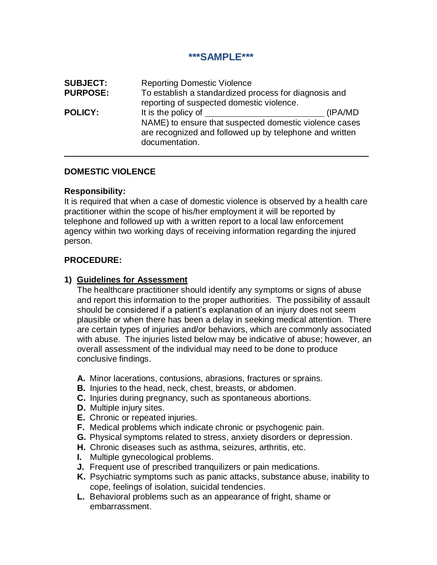### **\*\*\*SAMPLE\*\*\***

| <b>SUBJECT:</b> | <b>Reporting Domestic Violence</b>                                                                                                                         |          |
|-----------------|------------------------------------------------------------------------------------------------------------------------------------------------------------|----------|
| <b>PURPOSE:</b> | To establish a standardized process for diagnosis and<br>reporting of suspected domestic violence.                                                         |          |
| <b>POLICY:</b>  | It is the policy of<br>NAME) to ensure that suspected domestic violence cases<br>are recognized and followed up by telephone and written<br>documentation. | (IPA/MD) |

### **DOMESTIC VIOLENCE**

#### **Responsibility:**

It is required that when a case of domestic violence is observed by a health care practitioner within the scope of his/her employment it will be reported by telephone and followed up with a written report to a local law enforcement agency within two working days of receiving information regarding the injured person.

#### **PROCEDURE:**

#### **1) Guidelines for Assessment**

The healthcare practitioner should identify any symptoms or signs of abuse and report this information to the proper authorities. The possibility of assault should be considered if a patient's explanation of an injury does not seem plausible or when there has been a delay in seeking medical attention. There are certain types of injuries and/or behaviors, which are commonly associated with abuse. The injuries listed below may be indicative of abuse; however, an overall assessment of the individual may need to be done to produce conclusive findings.

- **A.** Minor lacerations, contusions, abrasions, fractures or sprains.
- **B.** Injuries to the head, neck, chest, breasts, or abdomen.
- **C.** Injuries during pregnancy, such as spontaneous abortions.
- **D.** Multiple injury sites.
- **E.** Chronic or repeated injuries.
- **F.** Medical problems which indicate chronic or psychogenic pain.
- **G.** Physical symptoms related to stress, anxiety disorders or depression.
- **H.** Chronic diseases such as asthma, seizures, arthritis, etc.
- **I.** Multiple gynecological problems.
- **J.** Frequent use of prescribed tranquilizers or pain medications.
- **K.** Psychiatric symptoms such as panic attacks, substance abuse, inability to cope, feelings of isolation, suicidal tendencies.
- **L.** Behavioral problems such as an appearance of fright, shame or embarrassment.